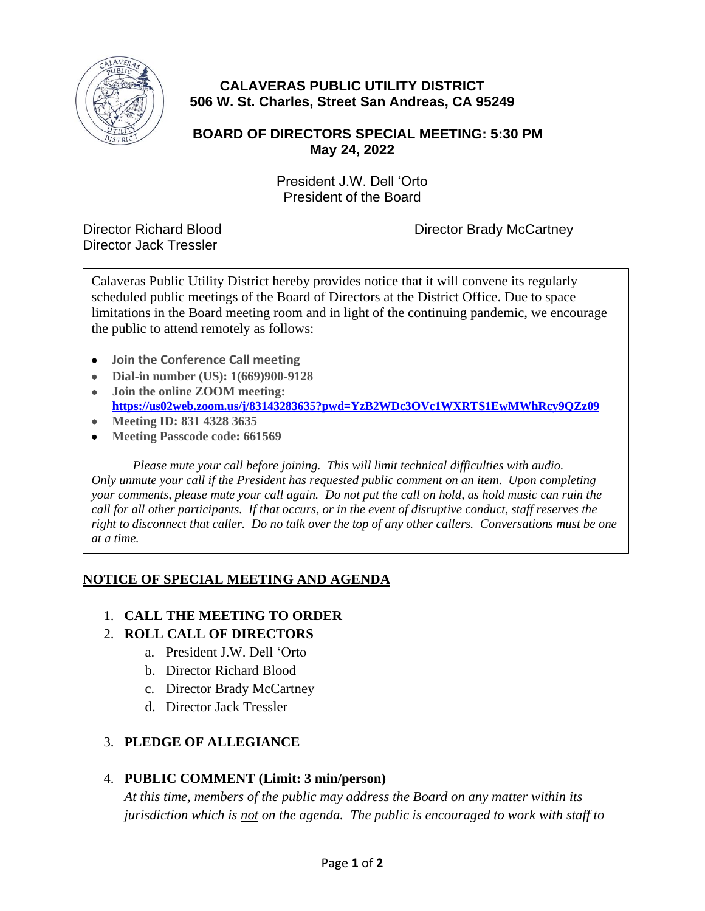

# **CALAVERAS PUBLIC UTILITY DISTRICT 506 W. St. Charles, Street San Andreas, CA 95249**

## **BOARD OF DIRECTORS SPECIAL MEETING: 5:30 PM May 24, 2022**

President J.W. Dell 'Orto President of the Board

Director Jack Tressler

Director Richard Blood Director Brady McCartney

Calaveras Public Utility District hereby provides notice that it will convene its regularly scheduled public meetings of the Board of Directors at the District Office. Due to space limitations in the Board meeting room and in light of the continuing pandemic, we encourage the public to attend remotely as follows:

- **Join the Conference Call meeting**
- **Dial-in number (US): 1(669)900-9128**
- **Join the online ZOOM meeting: <https://us02web.zoom.us/j/83143283635?pwd=YzB2WDc3OVc1WXRTS1EwMWhRcy9QZz09>**
- **Meeting ID: 831 4328 3635**
- **Meeting Passcode code: 661569**

*Please mute your call before joining. This will limit technical difficulties with audio. Only unmute your call if the President has requested public comment on an item. Upon completing your comments, please mute your call again. Do not put the call on hold, as hold music can ruin the call for all other participants. If that occurs, or in the event of disruptive conduct, staff reserves the right to disconnect that caller. Do no talk over the top of any other callers. Conversations must be one at a time.*

#### **NOTICE OF SPECIAL MEETING AND AGENDA**

#### 1. **CALL THE MEETING TO ORDER**

#### 2. **ROLL CALL OF DIRECTORS**

- a. President J.W. Dell 'Orto
- b. Director Richard Blood
- c. Director Brady McCartney
- d. Director Jack Tressler

#### 3. **PLEDGE OF ALLEGIANCE**

#### 4. **PUBLIC COMMENT (Limit: 3 min/person)**

*At this time, members of the public may address the Board on any matter within its jurisdiction which is not on the agenda. The public is encouraged to work with staff to*